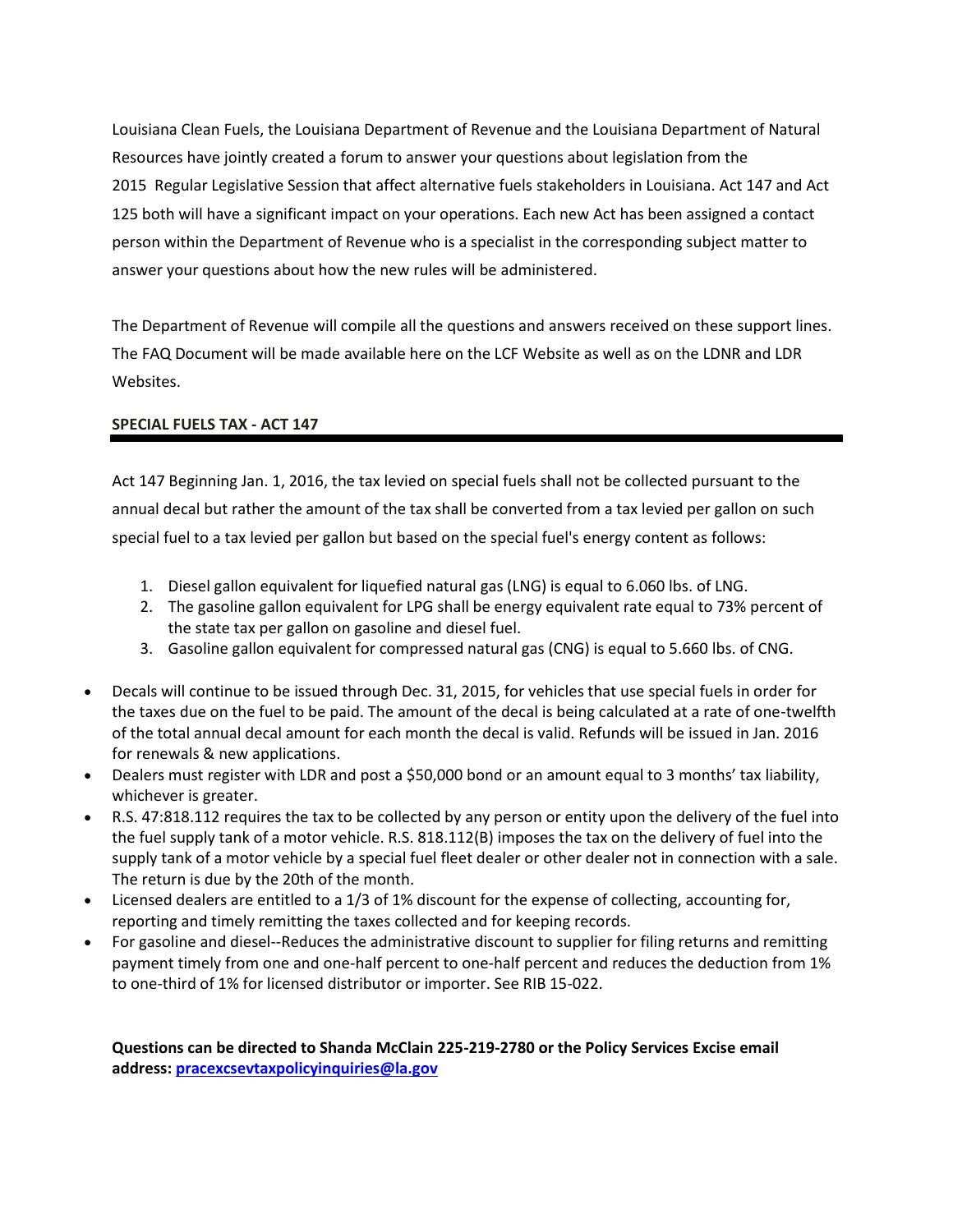Louisiana Clean Fuels, the Louisiana Department of Revenue and the Louisiana Department of Natural Resources have jointly created a forum to answer your questions about legislation from the 2015 Regular Legislative Session that affect alternative fuels stakeholders in Louisiana. Act 147 and Act 125 both will have a significant impact on your operations. Each new Act has been assigned a contact person within the Department of Revenue who is a specialist in the corresponding subject matter to answer your questions about how the new rules will be administered.

The Department of Revenue will compile all the questions and answers received on these support lines. The FAQ Document will be made available here on the LCF Website as well as on the LDNR and LDR Websites.

## **SPECIAL FUELS TAX - ACT 147**

Act 147 Beginning Jan. 1, 2016, the tax levied on special fuels shall not be collected pursuant to the annual decal but rather the amount of the tax shall be converted from a tax levied per gallon on such special fuel to a tax levied per gallon but based on the special fuel's energy content as follows:

- 1. Diesel gallon equivalent for liquefied natural gas (LNG) is equal to 6.060 lbs. of LNG.
- 2. The gasoline gallon equivalent for LPG shall be energy equivalent rate equal to 73% percent of the state tax per gallon on gasoline and diesel fuel.
- 3. Gasoline gallon equivalent for compressed natural gas (CNG) is equal to 5.660 lbs. of CNG.
- Decals will continue to be issued through Dec. 31, 2015, for vehicles that use special fuels in order for the taxes due on the fuel to be paid. The amount of the decal is being calculated at a rate of one-twelfth of the total annual decal amount for each month the decal is valid. Refunds will be issued in Jan. 2016 for renewals & new applications.
- Dealers must register with LDR and post a \$50,000 bond or an amount equal to 3 months' tax liability, whichever is greater.
- R.S. 47:818.112 requires the tax to be collected by any person or entity upon the delivery of the fuel into the fuel supply tank of a motor vehicle. R.S. 818.112(B) imposes the tax on the delivery of fuel into the supply tank of a motor vehicle by a special fuel fleet dealer or other dealer not in connection with a sale. The return is due by the 20th of the month.
- Licensed dealers are entitled to a 1/3 of 1% discount for the expense of collecting, accounting for, reporting and timely remitting the taxes collected and for keeping records.
- For gasoline and diesel--Reduces the administrative discount to supplier for filing returns and remitting payment timely from one and one-half percent to one-half percent and reduces the deduction from 1% to one-third of 1% for licensed distributor or importer. See RIB 15-022.

**Questions can be directed to Shanda McClain 225-219-2780 or the Policy Services Excise email address: [pracexcsevtaxpolicyinquiries@la.gov](mailto:pracexcsevtaxpolicyinquiries@la.gov)**